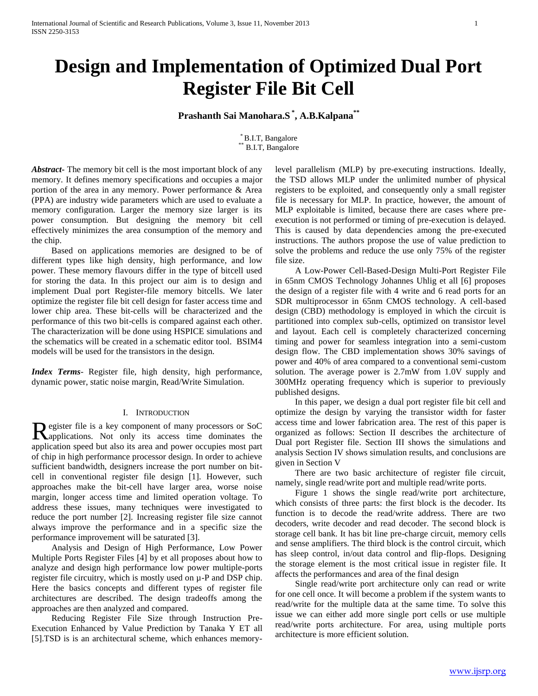# **Design and Implementation of Optimized Dual Port Register File Bit Cell**

## **Prashanth Sai Manohara.S \* , A.B.Kalpana\*\***

\* B.I.T, Bangalore \*\* B.I.T, Bangalore

*Abstract***-** The memory bit cell is the most important block of any memory. It defines memory specifications and occupies a major portion of the area in any memory. Power performance & Area (PPA) are industry wide parameters which are used to evaluate a memory configuration. Larger the memory size larger is its power consumption. But designing the memory bit cell effectively minimizes the area consumption of the memory and the chip.

 Based on applications memories are designed to be of different types like high density, high performance, and low power. These memory flavours differ in the type of bitcell used for storing the data. In this project our aim is to design and implement Dual port Register-file memory bitcells. We later optimize the register file bit cell design for faster access time and lower chip area. These bit-cells will be characterized and the performance of this two bit-cells is compared against each other. The characterization will be done using HSPICE simulations and the schematics will be created in a schematic editor tool. BSIM4 models will be used for the transistors in the design.

*Index Terms*- Register file, high density, high performance, dynamic power, static noise margin, Read/Write Simulation.

### I. INTRODUCTION

egister file is a key component of many processors or SoC Register file is a key component of many processors or SoC applications. Not only its access time dominates the application speed but also its area and power occupies most part of chip in high performance processor design. In order to achieve sufficient bandwidth, designers increase the port number on bitcell in conventional register file design [1]. However, such approaches make the bit-cell have larger area, worse noise margin, longer access time and limited operation voltage. To address these issues, many techniques were investigated to reduce the port number [2]. Increasing register file size cannot always improve the performance and in a specific size the performance improvement will be saturated [3].

 Analysis and Design of High Performance, Low Power Multiple Ports Register Files [4] by et all proposes about how to analyze and design high performance low power multiple-ports register file circuitry, which is mostly used on µ-P and DSP chip. Here the basics concepts and different types of register file architectures are described. The design tradeoffs among the approaches are then analyzed and compared.

 Reducing Register File Size through Instruction Pre-Execution Enhanced by Value Prediction by Tanaka Y ET all [5].TSD is is an architectural scheme, which enhances memorylevel parallelism (MLP) by pre-executing instructions. Ideally, the TSD allows MLP under the unlimited number of physical registers to be exploited, and consequently only a small register file is necessary for MLP. In practice, however, the amount of MLP exploitable is limited, because there are cases where preexecution is not performed or timing of pre-execution is delayed. This is caused by data dependencies among the pre-executed instructions. The authors propose the use of value prediction to solve the problems and reduce the use only 75% of the register file size.

 A Low-Power Cell-Based-Design Multi-Port Register File in 65nm CMOS Technology Johannes Uhlig et all [6] proposes the design of a register file with 4 write and 6 read ports for an SDR multiprocessor in 65nm CMOS technology. A cell-based design (CBD) methodology is employed in which the circuit is partitioned into complex sub-cells, optimized on transistor level and layout. Each cell is completely characterized concerning timing and power for seamless integration into a semi-custom design flow. The CBD implementation shows 30% savings of power and 40% of area compared to a conventional semi-custom solution. The average power is 2.7mW from 1.0V supply and 300MHz operating frequency which is superior to previously published designs.

 In this paper, we design a dual port register file bit cell and optimize the design by varying the transistor width for faster access time and lower fabrication area. The rest of this paper is organized as follows: Section II describes the architecture of Dual port Register file. Section III shows the simulations and analysis Section IV shows simulation results, and conclusions are given in Section V

 There are two basic architecture of register file circuit, namely, single read/write port and multiple read/write ports.

 Figure 1 shows the single read/write port architecture, which consists of three parts: the first block is the decoder. Its function is to decode the read/write address. There are two decoders, write decoder and read decoder. The second block is storage cell bank. It has bit line pre-charge circuit, memory cells and sense amplifiers. The third block is the control circuit, which has sleep control, in/out data control and flip-flops. Designing the storage element is the most critical issue in register file. It affects the performances and area of the final design

 Single read/write port architecture only can read or write for one cell once. It will become a problem if the system wants to read/write for the multiple data at the same time. To solve this issue we can either add more single port cells or use multiple read/write ports architecture. For area, using multiple ports architecture is more efficient solution.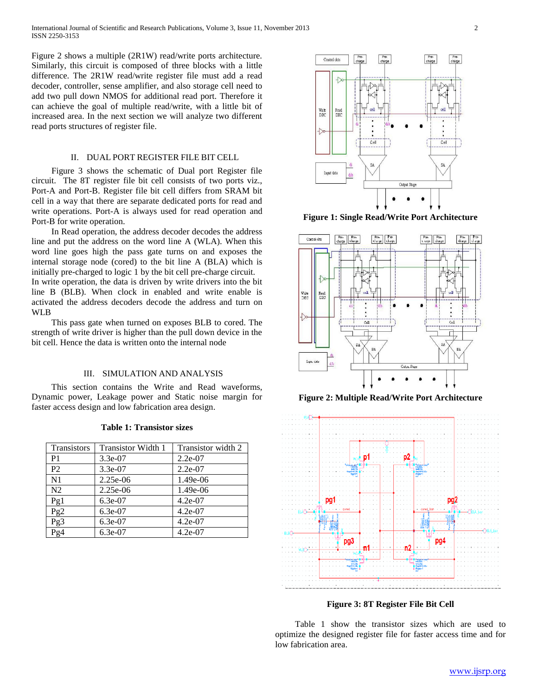Figure 2 shows a multiple (2R1W) read/write ports architecture. Similarly, this circuit is composed of three blocks with a little difference. The 2R1W read/write register file must add a read decoder, controller, sense amplifier, and also storage cell need to add two pull down NMOS for additional read port. Therefore it can achieve the goal of multiple read/write, with a little bit of increased area. In the next section we will analyze two different read ports structures of register file.

### II. DUAL PORT REGISTER FILE BIT CELL

 Figure 3 shows the schematic of Dual port Register file circuit. The 8T register file bit cell consists of two ports viz., Port-A and Port-B. Register file bit cell differs from SRAM bit cell in a way that there are separate dedicated ports for read and write operations. Port-A is always used for read operation and Port-B for write operation.

 In Read operation, the address decoder decodes the address line and put the address on the word line A (WLA). When this word line goes high the pass gate turns on and exposes the internal storage node (cored) to the bit line A (BLA) which is initially pre-charged to logic 1 by the bit cell pre-charge circuit. In write operation, the data is driven by write drivers into the bit line B (BLB). When clock in enabled and write enable is activated the address decoders decode the address and turn on WLB

 This pass gate when turned on exposes BLB to cored. The strength of write driver is higher than the pull down device in the bit cell. Hence the data is written onto the internal node

### III. SIMULATION AND ANALYSIS

 This section contains the Write and Read waveforms, Dynamic power, Leakage power and Static noise margin for faster access design and low fabrication area design.

| Transistors    | <b>Transistor Width 1</b> | Transistor width 2 |
|----------------|---------------------------|--------------------|
| P <sub>1</sub> | $3.3e-07$                 | $2.2e-07$          |
| P <sub>2</sub> | $3.3e-07$                 | $2.2e-07$          |
| N1             | 2.25e-06                  | 1.49e-06           |
| N <sub>2</sub> | 2.25e-06                  | 1.49e-06           |
| Pg1            | $6.3e-07$                 | $4.2e-07$          |
| Pg2            | $6.3e-07$                 | $4.2e-07$          |
| Pg3            | $6.3e-07$                 | $4.2e-07$          |
| Pg4            | 6.3e-07                   | $4.2e-07$          |

**Table 1: Transistor sizes**



**Figure 1: Single Read/Write Port Architecture**



**Figure 2: Multiple Read/Write Port Architecture**



**Figure 3: 8T Register File Bit Cell**

 Table 1 show the transistor sizes which are used to optimize the designed register file for faster access time and for low fabrication area.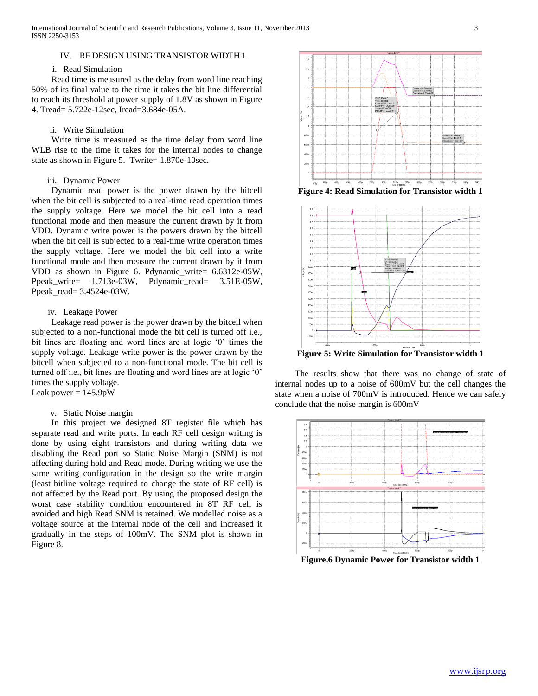### IV. RF DESIGN USING TRANSISTOR WIDTH 1

#### i. Read Simulation

 Read time is measured as the delay from word line reaching 50% of its final value to the time it takes the bit line differential to reach its threshold at power supply of 1.8V as shown in Figure 4. Tread= 5.722e-12sec, Iread=3.684e-05A.

### ii. Write Simulation

 Write time is measured as the time delay from word line WLB rise to the time it takes for the internal nodes to change state as shown in Figure 5. Twrite= 1.870e-10sec.

### iii. Dynamic Power

 Dynamic read power is the power drawn by the bitcell when the bit cell is subjected to a real-time read operation times the supply voltage. Here we model the bit cell into a read functional mode and then measure the current drawn by it from VDD. Dynamic write power is the powers drawn by the bitcell when the bit cell is subjected to a real-time write operation times the supply voltage. Here we model the bit cell into a write functional mode and then measure the current drawn by it from VDD as shown in Figure 6. Pdynamic\_write= 6.6312e-05W, Ppeak\_write= 1.713e-03W, Pdynamic\_read= 3.51E-05W, Ppeak\_read= 3.4524e-03W.

### iv. Leakage Power

 Leakage read power is the power drawn by the bitcell when subjected to a non-functional mode the bit cell is turned off i.e., bit lines are floating and word lines are at logic '0' times the supply voltage. Leakage write power is the power drawn by the bitcell when subjected to a non-functional mode. The bit cell is turned off i.e., bit lines are floating and word lines are at logic '0' times the supply voltage. Leak power  $= 145.9$ pW

# v. Static Noise margin

 In this project we designed 8T register file which has separate read and write ports. In each RF cell design writing is done by using eight transistors and during writing data we disabling the Read port so Static Noise Margin (SNM) is not affecting during hold and Read mode. During writing we use the same writing configuration in the design so the write margin (least bitline voltage required to change the state of RF cell) is not affected by the Read port. By using the proposed design the worst case stability condition encountered in 8T RF cell is avoided and high Read SNM is retained. We modelled noise as a voltage source at the internal node of the cell and increased it gradually in the steps of 100mV. The SNM plot is shown in Figure 8.



**Figure 4: Read Simulation for Transistor width 1**



**Figure 5: Write Simulation for Transistor width 1**

 The results show that there was no change of state of internal nodes up to a noise of 600mV but the cell changes the state when a noise of 700mV is introduced. Hence we can safely conclude that the noise margin is 600mV



**Figure.6 Dynamic Power for Transistor width 1**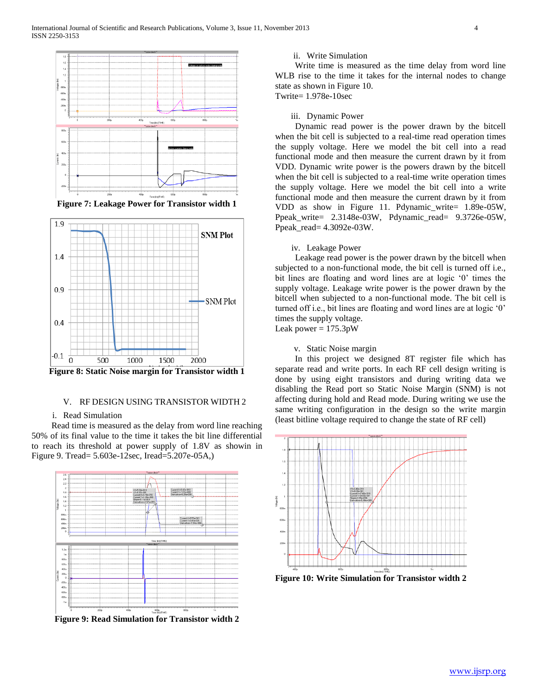

**Figure 7: Leakage Power for Transistor width 1**



**Figure 8: Static Noise margin for Transistor width 1**

### V. RF DESIGN USING TRANSISTOR WIDTH 2

### i. Read Simulation

 Read time is measured as the delay from word line reaching 50% of its final value to the time it takes the bit line differential to reach its threshold at power supply of 1.8V as showin in Figure 9. Tread= 5.603e-12sec, Iread=5.207e-05A,)



**Figure 9: Read Simulation for Transistor width 2**

### ii. Write Simulation

 Write time is measured as the time delay from word line WLB rise to the time it takes for the internal nodes to change state as shown in Figure 10. Twrite= 1.978e-10sec

iii. Dynamic Power

 Dynamic read power is the power drawn by the bitcell when the bit cell is subjected to a real-time read operation times the supply voltage. Here we model the bit cell into a read functional mode and then measure the current drawn by it from VDD. Dynamic write power is the powers drawn by the bitcell when the bit cell is subjected to a real-time write operation times the supply voltage. Here we model the bit cell into a write functional mode and then measure the current drawn by it from VDD as show in Figure 11. Pdynamic\_write= 1.89e-05W, Ppeak\_write= 2.3148e-03W, Pdynamic\_read= 9.3726e-05W, Ppeak\_read= 4.3092e-03W.

### iv. Leakage Power

 Leakage read power is the power drawn by the bitcell when subjected to a non-functional mode, the bit cell is turned off i.e., bit lines are floating and word lines are at logic '0' times the supply voltage. Leakage write power is the power drawn by the bitcell when subjected to a non-functional mode. The bit cell is turned off i.e., bit lines are floating and word lines are at logic '0' times the supply voltage.

Leak power  $= 175.3$ pW

v. Static Noise margin

 In this project we designed 8T register file which has separate read and write ports. In each RF cell design writing is done by using eight transistors and during writing data we disabling the Read port so Static Noise Margin (SNM) is not affecting during hold and Read mode. During writing we use the same writing configuration in the design so the write margin (least bitline voltage required to change the state of RF cell)



**Figure 10: Write Simulation for Transistor width 2**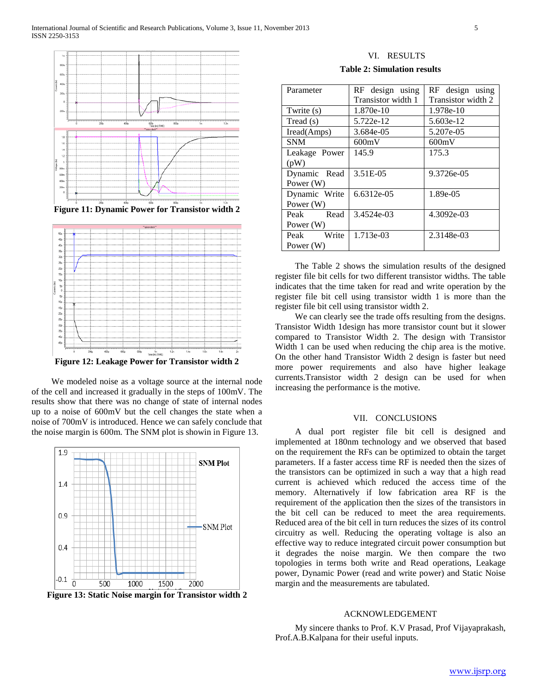

**Figure 11: Dynamic Power for Transistor width 2**



 We modeled noise as a voltage source at the internal node of the cell and increased it gradually in the steps of 100mV. The results show that there was no change of state of internal nodes up to a noise of 600mV but the cell changes the state when a noise of 700mV is introduced. Hence we can safely conclude that the noise margin is 600m. The SNM plot is showin in Figure 13.



**Figure 13: Static Noise margin for Transistor width 2**

VI. RESULTS

|  | <b>Table 2: Simulation results</b> |  |
|--|------------------------------------|--|
|--|------------------------------------|--|

| Parameter     | RF design using    | RF design using    |
|---------------|--------------------|--------------------|
|               | Transistor width 1 | Transistor width 2 |
| Twrite (s)    | 1.870e-10          | 1.978e-10          |
| Tread (s)     | 5.722e-12          | 5.603e-12          |
| Iread(Amps)   | 3.684e-05          | 5.207e-05          |
| <b>SNM</b>    | 600mV              | 600mV              |
| Leakage Power | 145.9              | 175.3              |
| (pW)          |                    |                    |
| Dynamic Read  | 3.51E-05           | 9.3726e-05         |
| Power (W)     |                    |                    |
| Dynamic Write | 6.6312e-05         | 1.89e-05           |
| Power $(W)$   |                    |                    |
| Peak Read     | 3.4524e-03         | 4.3092e-03         |
| Power $(W)$   |                    |                    |
| Peak Write    | 1.713e-03          | 2.3148e-03         |
| Power (W)     |                    |                    |

 The Table 2 shows the simulation results of the designed register file bit cells for two different transistor widths. The table indicates that the time taken for read and write operation by the register file bit cell using transistor width 1 is more than the register file bit cell using transistor width 2.

 We can clearly see the trade offs resulting from the designs. Transistor Width 1design has more transistor count but it slower compared to Transistor Width 2. The design with Transistor Width 1 can be used when reducing the chip area is the motive. On the other hand Transistor Width 2 design is faster but need more power requirements and also have higher leakage currents.Transistor width 2 design can be used for when increasing the performance is the motive.

### VII. CONCLUSIONS

 A dual port register file bit cell is designed and implemented at 180nm technology and we observed that based on the requirement the RFs can be optimized to obtain the target parameters. If a faster access time RF is needed then the sizes of the transistors can be optimized in such a way that a high read current is achieved which reduced the access time of the memory. Alternatively if low fabrication area RF is the requirement of the application then the sizes of the transistors in the bit cell can be reduced to meet the area requirements. Reduced area of the bit cell in turn reduces the sizes of its control circuitry as well. Reducing the operating voltage is also an effective way to reduce integrated circuit power consumption but it degrades the noise margin. We then compare the two topologies in terms both write and Read operations, Leakage power, Dynamic Power (read and write power) and Static Noise margin and the measurements are tabulated.

### ACKNOWLEDGEMENT

 My sincere thanks to Prof. K.V Prasad, Prof Vijayaprakash, Prof.A.B.Kalpana for their useful inputs.